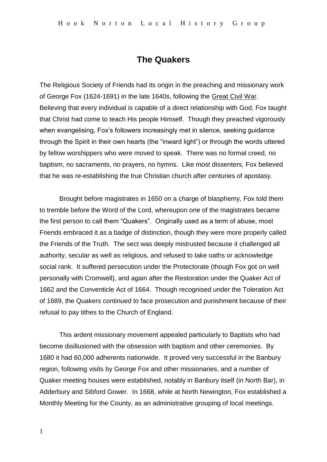## **The Quakers**

The Religious Society of Friends had its origin in the preaching and missionary work of George Fox (1624-1691) in the late 1640s, following the Great Civil War. Believing that every individual is capable of a direct relationship with God, Fox taught that Christ had come to teach His people Himself. Though they preached vigorously when evangelising, Fox's followers increasingly met in silence, seeking guidance through the Spirit in their own hearts (the "inward light") or through the words uttered by fellow worshippers who were moved to speak. There was no formal creed, no baptism, no sacraments, no prayers, no hymns. Like most dissenters, Fox believed that he was re-establishing the true Christian church after centuries of apostasy.

Brought before magistrates in 1650 on a charge of blasphemy, Fox told them to tremble before the Word of the Lord, whereupon one of the magistrates became the first person to call them "Quakers". Originally used as a term of abuse, most Friends embraced it as a badge of distinction, though they were more properly called the Friends of the Truth. The sect was deeply mistrusted because it challenged all authority, secular as well as religious, and refused to take oaths or acknowledge social rank. It suffered persecution under the Protectorate (though Fox got on well personally with Cromwell), and again after the Restoration under the Quaker Act of 1662 and the Conventicle Act of 1664. Though recognised under the Toleration Act of 1689, the Quakers continued to face prosecution and punishment because of their refusal to pay tithes to the Church of England.

This ardent missionary movement appealed particularly to Baptists who had become disillusioned with the obsession with baptism and other ceremonies. By 1680 it had 60,000 adherents nationwide. It proved very successful in the Banbury region, following visits by George Fox and other missionaries, and a number of Quaker meeting houses were established, notably in Banbury itself (in North Bar), in Adderbury and Sibford Gower. In 1668, while at North Newington, Fox established a Monthly Meeting for the County, as an administrative grouping of local meetings.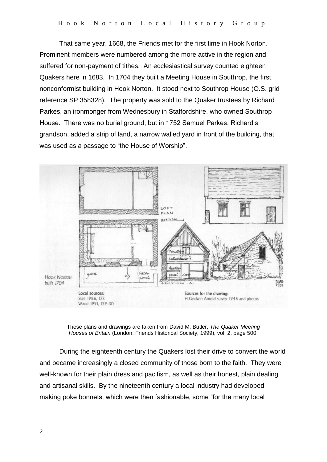That same year, 1668, the Friends met for the first time in Hook Norton. Prominent members were numbered among the more active in the region and suffered for non-payment of tithes. An ecclesiastical survey counted eighteen Quakers here in 1683. In 1704 they built a Meeting House in Southrop, the first nonconformist building in Hook Norton. It stood next to Southrop House (O.S. grid reference SP 358328). The property was sold to the Quaker trustees by Richard Parkes, an ironmonger from Wednesbury in Staffordshire, who owned Southrop House. There was no burial ground, but in 1752 Samuel Parkes, Richard's grandson, added a strip of land, a narrow walled yard in front of the building, that was used as a passage to "the House of Worship".



These plans and drawings are taken from David M. Butler, *The Quaker Meeting Houses of Britain* (London: Friends Historical Society, 1999), vol. 2, page 500.

During the eighteenth century the Quakers lost their drive to convert the world and became increasingly a closed community of those born to the faith. They were well-known for their plain dress and pacifism, as well as their honest, plain dealing and artisanal skills. By the nineteenth century a local industry had developed making poke bonnets, which were then fashionable, some "for the many local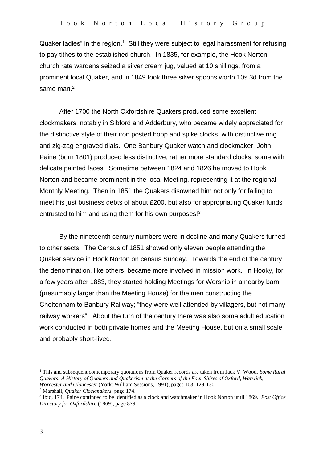Quaker ladies" in the region.<sup>1</sup> Still they were subject to legal harassment for refusing to pay tithes to the established church. In 1835, for example, the Hook Norton church rate wardens seized a silver cream jug, valued at 10 shillings, from a prominent local Quaker, and in 1849 took three silver spoons worth 10s 3d from the same man.<sup>2</sup>

After 1700 the North Oxfordshire Quakers produced some excellent clockmakers, notably in Sibford and Adderbury, who became widely appreciated for the distinctive style of their iron posted hoop and spike clocks, with distinctive ring and zig-zag engraved dials. One Banbury Quaker watch and clockmaker, John Paine (born 1801) produced less distinctive, rather more standard clocks, some with delicate painted faces. Sometime between 1824 and 1826 he moved to Hook Norton and became prominent in the local Meeting, representing it at the regional Monthly Meeting. Then in 1851 the Quakers disowned him not only for failing to meet his just business debts of about £200, but also for appropriating Quaker funds entrusted to him and using them for his own purposes!<sup>3</sup>

By the nineteenth century numbers were in decline and many Quakers turned to other sects. The Census of 1851 showed only eleven people attending the Quaker service in Hook Norton on census Sunday. Towards the end of the century the denomination, like others, became more involved in mission work. In Hooky, for a few years after 1883, they started holding Meetings for Worship in a nearby barn (presumably larger than the Meeting House) for the men constructing the Cheltenham to Banbury Railway; "they were well attended by villagers, but not many railway workers". About the turn of the century there was also some adult education work conducted in both private homes and the Meeting House, but on a small scale and probably short-lived.

1

<sup>1</sup> This and subsequent contemporary quotations from Quaker records are taken from Jack V. Wood, *Some Rural Quakers: A History of Quakers and Quakerism at the Corners of the Four Shires of Oxford, Warwick, Worcester and Gloucester* (York: William Sessions, 1991), pages 103, 129-130.

<sup>2</sup> Marshall, *Quaker Clockmakers*, page 174.

<sup>3</sup> Ibid, 174. Paine continued to be identified as a clock and watchmaker in Hook Norton until 1869. *Post Office Directory for Oxfordshire* (1869), page 879.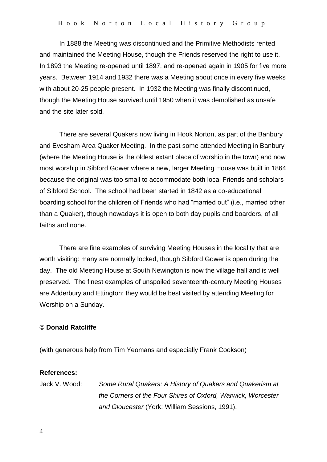In 1888 the Meeting was discontinued and the Primitive Methodists rented and maintained the Meeting House, though the Friends reserved the right to use it. In 1893 the Meeting re-opened until 1897, and re-opened again in 1905 for five more years. Between 1914 and 1932 there was a Meeting about once in every five weeks with about 20-25 people present. In 1932 the Meeting was finally discontinued, though the Meeting House survived until 1950 when it was demolished as unsafe and the site later sold.

There are several Quakers now living in Hook Norton, as part of the Banbury and Evesham Area Quaker Meeting. In the past some attended Meeting in Banbury (where the Meeting House is the oldest extant place of worship in the town) and now most worship in Sibford Gower where a new, larger Meeting House was built in 1864 because the original was too small to accommodate both local Friends and scholars of Sibford School. The school had been started in 1842 as a co-educational boarding school for the children of Friends who had "married out" (i.e., married other than a Quaker), though nowadays it is open to both day pupils and boarders, of all faiths and none.

There are fine examples of surviving Meeting Houses in the locality that are worth visiting: many are normally locked, though Sibford Gower is open during the day. The old Meeting House at South Newington is now the village hall and is well preserved. The finest examples of unspoiled seventeenth-century Meeting Houses are Adderbury and Ettington; they would be best visited by attending Meeting for Worship on a Sunday.

## **© Donald Ratcliffe**

(with generous help from Tim Yeomans and especially Frank Cookson)

## **References:**

Jack V. Wood: *Some Rural Quakers: A History of Quakers and Quakerism at the Corners of the Four Shires of Oxford, Warwick, Worcester and Gloucester* (York: William Sessions, 1991).